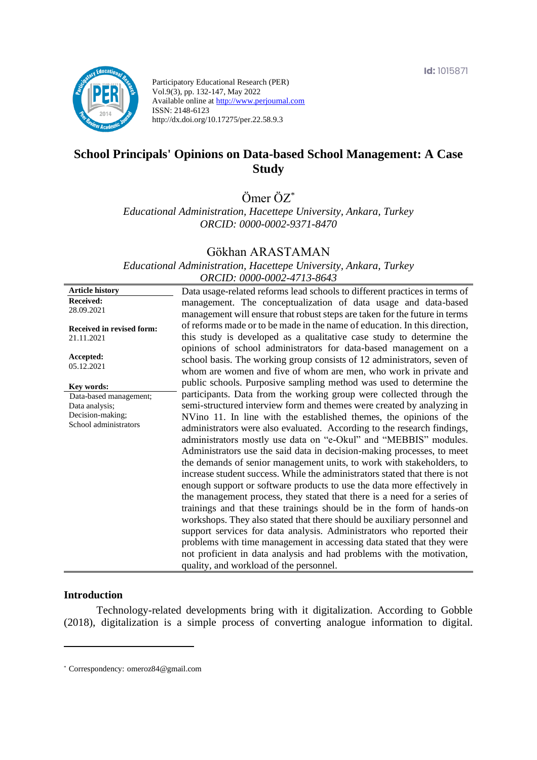

Participatory Educational Research (PER) Vol.9(3), pp. 132-147, May 2022 Available online at http://www.perjournal.com ISSN: 2148-6123 http://dx.doi.org/10.17275/per.22.58.9.3

# **School Principals' Opinions on Data-based School Management: A Case Study**

Ömer ÖZ\*

*Educational Administration, Hacettepe University, Ankara, Turkey ORCID: 0000-0002-9371-8470*

#### Gökhan ARASTAMAN

*Educational Administration, Hacettepe University, Ankara, Turkey ORCID: 0000-0002-4713-8643*

**Article history Received:**  28.09.2021 **Received in revised form:**  21.11.2021 **Accepted:** 05.12.2021 Data usage-related reforms lead schools to different practices in terms of management. The conceptualization of data usage and data-based management will ensure that robust steps are taken for the future in terms of reforms made or to be made in the name of education. In this direction, this study is developed as a qualitative case study to determine the opinions of school administrators for data-based management on a school basis. The working group consists of 12 administrators, seven of whom are women and five of whom are men, who work in private and public schools. Purposive sampling method was used to determine the participants. Data from the working group were collected through the semi-structured interview form and themes were created by analyzing in NVino 11. In line with the established themes, the opinions of the administrators were also evaluated. According to the research findings, administrators mostly use data on "e-Okul" and "MEBBIS" modules. Administrators use the said data in decision-making processes, to meet the demands of senior management units, to work with stakeholders, to increase student success. While the administrators stated that there is not enough support or software products to use the data more effectively in the management process, they stated that there is a need for a series of trainings and that these trainings should be in the form of hands-on workshops. They also stated that there should be auxiliary personnel and support services for data analysis. Administrators who reported their problems with time management in accessing data stated that they were not proficient in data analysis and had problems with the motivation, quality, and workload of the personnel. **Key words:** Data-based management; Data analysis; Decision-making; School administrators

#### **Introduction**

Technology-related developments bring with it digitalization. According to Gobble (2018), digitalization is a simple process of converting analogue information to digital.

<sup>\*</sup> [Correspondency:](mailto:Correspondency:) omeroz84@gmail.com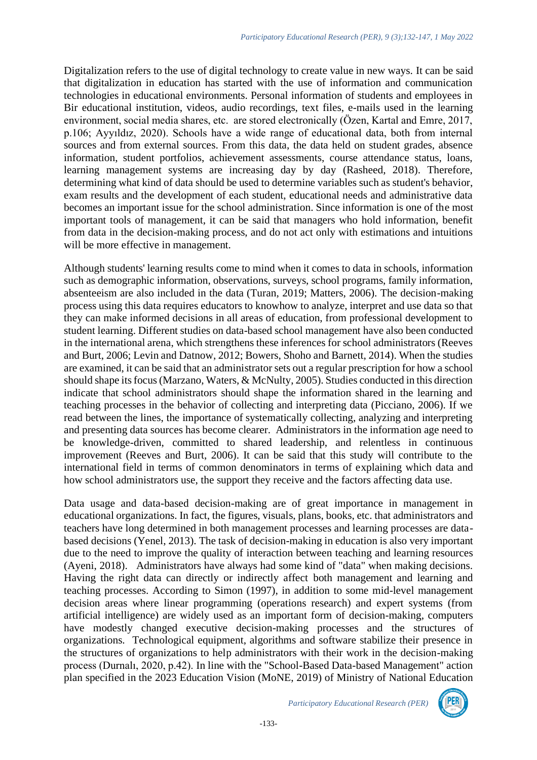Digitalization refers to the use of digital technology to create value in new ways. It can be said that digitalization in education has started with the use of information and communication technologies in educational environments. Personal information of students and employees in Bir educational institution, videos, audio recordings, text files, e-mails used in the learning environment, social media shares, etc. are stored electronically (Özen, Kartal and Emre, 2017, p.106; Ayyıldız, 2020). Schools have a wide range of educational data, both from internal sources and from external sources. From this data, the data held on student grades, absence information, student portfolios, achievement assessments, course attendance status, loans, learning management systems are increasing day by day (Rasheed, 2018). Therefore, determining what kind of data should be used to determine variables such as student's behavior, exam results and the development of each student, educational needs and administrative data becomes an important issue for the school administration. Since information is one of the most important tools of management, it can be said that managers who hold information, benefit from data in the decision-making process, and do not act only with estimations and intuitions will be more effective in management.

Although students' learning results come to mind when it comes to data in schools, information such as demographic information, observations, surveys, school programs, family information, absenteeism are also included in the data (Turan, 2019; Matters, 2006). The decision-making process using this data requires educators to knowhow to analyze, interpret and use data so that they can make informed decisions in all areas of education, from professional development to student learning. Different studies on data-based school management have also been conducted in the international arena, which strengthens these inferences for school administrators (Reeves and Burt, 2006; Levin and Datnow, 2012; Bowers, Shoho and Barnett, 2014). When the studies are examined, it can be said that an administrator sets out a regular prescription for how a school should shape its focus (Marzano, Waters, & McNulty, 2005). Studies conducted in this direction indicate that school administrators should shape the information shared in the learning and teaching processes in the behavior of collecting and interpreting data (Picciano, 2006). If we read between the lines, the importance of systematically collecting, analyzing and interpreting and presenting data sources has become clearer. Administrators in the information age need to be knowledge-driven, committed to shared leadership, and relentless in continuous improvement (Reeves and Burt, 2006). It can be said that this study will contribute to the international field in terms of common denominators in terms of explaining which data and how school administrators use, the support they receive and the factors affecting data use.

Data usage and data-based decision-making are of great importance in management in educational organizations. In fact, the figures, visuals, plans, books, etc. that administrators and teachers have long determined in both management processes and learning processes are databased decisions (Yenel, 2013). The task of decision-making in education is also very important due to the need to improve the quality of interaction between teaching and learning resources (Ayeni, 2018). Administrators have always had some kind of "data" when making decisions. Having the right data can directly or indirectly affect both management and learning and teaching processes. According to Simon (1997), in addition to some mid-level management decision areas where linear programming (operations research) and expert systems (from artificial intelligence) are widely used as an important form of decision-making, computers have modestly changed executive decision-making processes and the structures of organizations. Technological equipment, algorithms and software stabilize their presence in the structures of organizations to help administrators with their work in the decision-making process (Durnalı, 2020, p.42). In line with the "School-Based Data-based Management" action plan specified in the 2023 Education Vision (MoNE, 2019) of Ministry of National Education

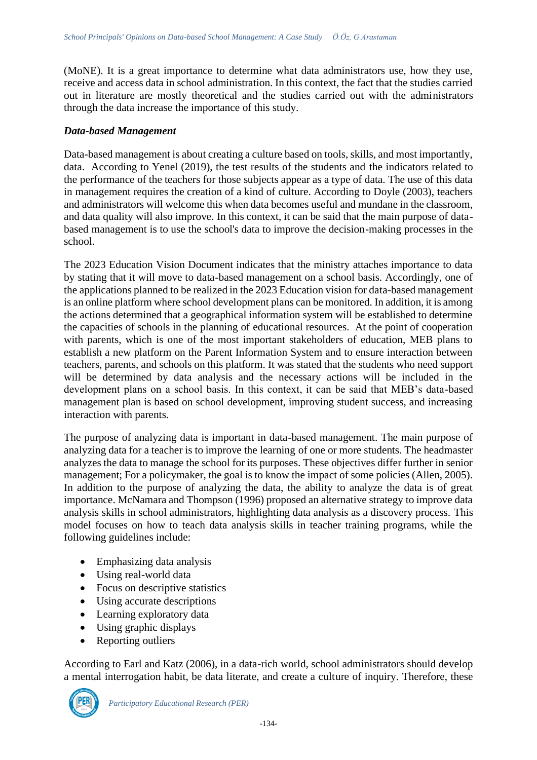(MoNE). It is a great importance to determine what data administrators use, how they use, receive and access data in school administration. In this context, the fact that the studies carried out in literature are mostly theoretical and the studies carried out with the administrators through the data increase the importance of this study.

#### *Data-based Management*

Data-based management is about creating a culture based on tools, skills, and most importantly, data. According to Yenel (2019), the test results of the students and the indicators related to the performance of the teachers for those subjects appear as a type of data. The use of this data in management requires the creation of a kind of culture. According to Doyle (2003), teachers and administrators will welcome this when data becomes useful and mundane in the classroom, and data quality will also improve. In this context, it can be said that the main purpose of databased management is to use the school's data to improve the decision-making processes in the school.

The 2023 Education Vision Document indicates that the ministry attaches importance to data by stating that it will move to data-based management on a school basis. Accordingly, one of the applications planned to be realized in the 2023 Education vision for data-based management is an online platform where school development plans can be monitored. In addition, it is among the actions determined that a geographical information system will be established to determine the capacities of schools in the planning of educational resources. At the point of cooperation with parents, which is one of the most important stakeholders of education, MEB plans to establish a new platform on the Parent Information System and to ensure interaction between teachers, parents, and schools on this platform. It was stated that the students who need support will be determined by data analysis and the necessary actions will be included in the development plans on a school basis. In this context, it can be said that MEB's data-based management plan is based on school development, improving student success, and increasing interaction with parents.

The purpose of analyzing data is important in data-based management. The main purpose of analyzing data for a teacher is to improve the learning of one or more students. The headmaster analyzes the data to manage the school for its purposes. These objectives differ further in senior management; For a policymaker, the goal is to know the impact of some policies (Allen, 2005). In addition to the purpose of analyzing the data, the ability to analyze the data is of great importance. McNamara and Thompson (1996) proposed an alternative strategy to improve data analysis skills in school administrators, highlighting data analysis as a discovery process. This model focuses on how to teach data analysis skills in teacher training programs, while the following guidelines include:

- Emphasizing data analysis
- Using real-world data
- Focus on descriptive statistics
- Using accurate descriptions
- Learning exploratory data
- Using graphic displays
- Reporting outliers

According to Earl and Katz (2006), in a data-rich world, school administrators should develop a mental interrogation habit, be data literate, and create a culture of inquiry. Therefore, these

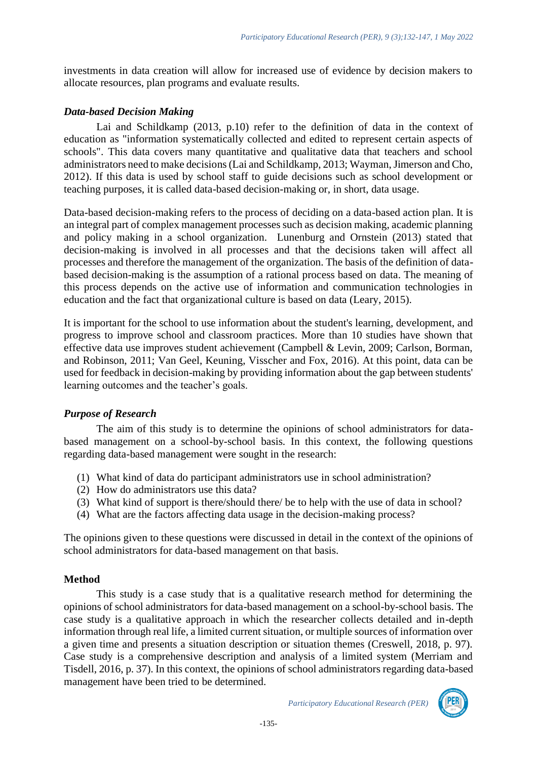investments in data creation will allow for increased use of evidence by decision makers to allocate resources, plan programs and evaluate results.

### *Data-based Decision Making*

Lai and Schildkamp (2013, p.10) refer to the definition of data in the context of education as "information systematically collected and edited to represent certain aspects of schools". This data covers many quantitative and qualitative data that teachers and school administrators need to make decisions (Lai and Schildkamp, 2013; Wayman, Jimerson and Cho, 2012). If this data is used by school staff to guide decisions such as school development or teaching purposes, it is called data-based decision-making or, in short, data usage.

Data-based decision-making refers to the process of deciding on a data-based action plan. It is an integral part of complex management processes such as decision making, academic planning and policy making in a school organization. Lunenburg and Ornstein (2013) stated that decision-making is involved in all processes and that the decisions taken will affect all processes and therefore the management of the organization. The basis of the definition of databased decision-making is the assumption of a rational process based on data. The meaning of this process depends on the active use of information and communication technologies in education and the fact that organizational culture is based on data (Leary, 2015).

It is important for the school to use information about the student's learning, development, and progress to improve school and classroom practices. More than 10 studies have shown that effective data use improves student achievement (Campbell & Levin, 2009; Carlson, Borman, and Robinson, 2011; Van Geel, Keuning, Visscher and Fox, 2016). At this point, data can be used for feedback in decision-making by providing information about the gap between students' learning outcomes and the teacher's goals.

### *Purpose of Research*

The aim of this study is to determine the opinions of school administrators for databased management on a school-by-school basis. In this context, the following questions regarding data-based management were sought in the research:

- (1) What kind of data do participant administrators use in school administration?
- (2) How do administrators use this data?
- (3) What kind of support is there/should there/ be to help with the use of data in school?
- (4) What are the factors affecting data usage in the decision-making process?

The opinions given to these questions were discussed in detail in the context of the opinions of school administrators for data-based management on that basis.

#### **Method**

This study is a case study that is a qualitative research method for determining the opinions of school administrators for data-based management on a school-by-school basis. The case study is a qualitative approach in which the researcher collects detailed and in-depth information through real life, a limited current situation, or multiple sources of information over a given time and presents a situation description or situation themes (Creswell, 2018, p. 97). Case study is a comprehensive description and analysis of a limited system (Merriam and Tisdell, 2016, p. 37). In this context, the opinions of school administrators regarding data-based management have been tried to be determined.

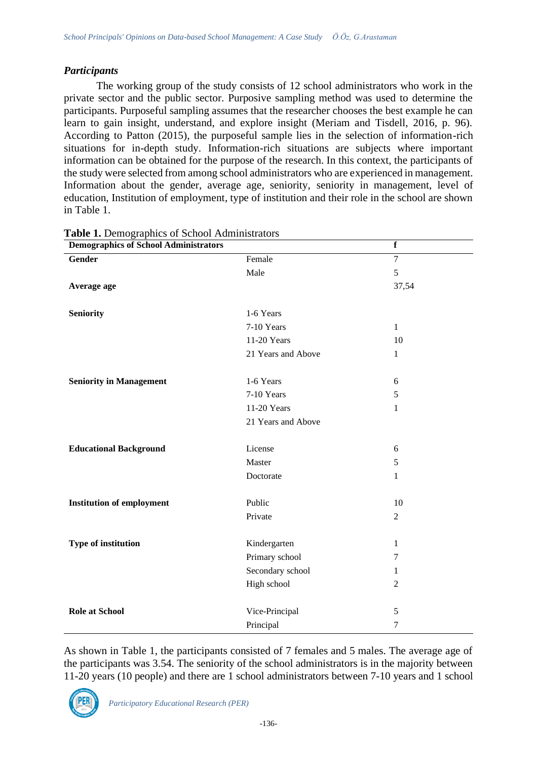# *Participants*

The working group of the study consists of 12 school administrators who work in the private sector and the public sector. Purposive sampling method was used to determine the participants. Purposeful sampling assumes that the researcher chooses the best example he can learn to gain insight, understand, and explore insight (Meriam and Tisdell, 2016, p. 96). According to Patton (2015), the purposeful sample lies in the selection of information-rich situations for in-depth study. Information-rich situations are subjects where important information can be obtained for the purpose of the research. In this context, the participants of the study were selected from among school administrators who are experienced in management. Information about the gender, average age, seniority, seniority in management, level of education, Institution of employment, type of institution and their role in the school are shown in Table 1.

| <b>Demographics of School Administrators</b> |                    | $\mathbf f$    |
|----------------------------------------------|--------------------|----------------|
| <b>Gender</b>                                | Female             | $\overline{7}$ |
|                                              | Male               | 5              |
| Average age                                  |                    | 37,54          |
|                                              |                    |                |
| <b>Seniority</b>                             | 1-6 Years          |                |
|                                              | 7-10 Years         | $\mathbf{1}$   |
|                                              | 11-20 Years        | 10             |
|                                              | 21 Years and Above | $\mathbf{1}$   |
|                                              |                    |                |
| <b>Seniority in Management</b>               | 1-6 Years          | 6              |
|                                              | 7-10 Years         | 5              |
|                                              | 11-20 Years        | $\mathbf{1}$   |
|                                              | 21 Years and Above |                |
|                                              |                    |                |
| <b>Educational Background</b>                | License            | 6              |
|                                              | Master             | 5              |
|                                              | Doctorate          | $\mathbf{1}$   |
|                                              |                    |                |
| <b>Institution of employment</b>             | Public             | 10             |
|                                              | Private            | $\overline{c}$ |
|                                              |                    |                |
| Type of institution                          | Kindergarten       | $\mathbf{1}$   |
|                                              | Primary school     | 7              |
|                                              | Secondary school   | 1              |
|                                              | High school        | $\overline{2}$ |
|                                              |                    |                |
| <b>Role at School</b>                        | Vice-Principal     | 5              |
|                                              | Principal          | 7              |

**Table 1.** Demographics of School Administrators

As shown in Table 1, the participants consisted of 7 females and 5 males. The average age of the participants was 3.54. The seniority of the school administrators is in the majority between 11-20 years (10 people) and there are 1 school administrators between 7-10 years and 1 school

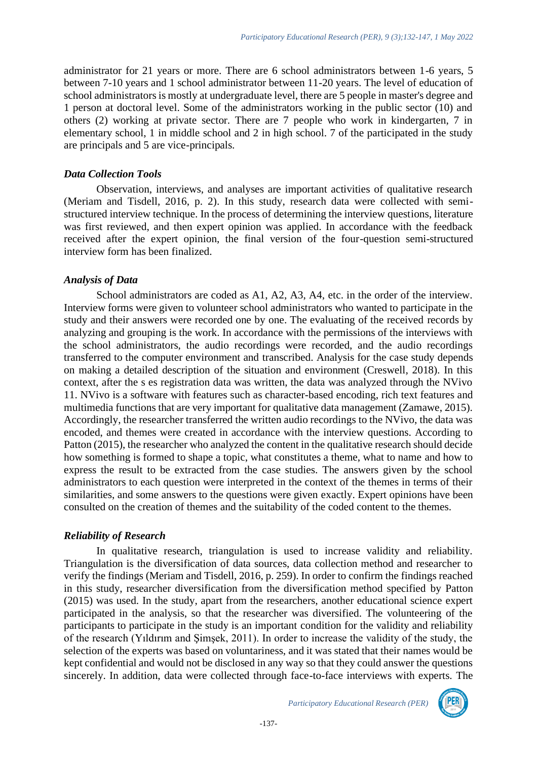administrator for 21 years or more. There are 6 school administrators between 1-6 years, 5 between 7-10 years and 1 school administrator between 11-20 years. The level of education of school administrators is mostly at undergraduate level, there are 5 people in master's degree and 1 person at doctoral level. Some of the administrators working in the public sector (10) and others (2) working at private sector. There are 7 people who work in kindergarten, 7 in elementary school, 1 in middle school and 2 in high school. 7 of the participated in the study are principals and 5 are vice-principals.

#### *Data Collection Tools*

Observation, interviews, and analyses are important activities of qualitative research (Meriam and Tisdell, 2016, p. 2). In this study, research data were collected with semistructured interview technique. In the process of determining the interview questions, literature was first reviewed, and then expert opinion was applied. In accordance with the feedback received after the expert opinion, the final version of the four-question semi-structured interview form has been finalized.

#### *Analysis of Data*

School administrators are coded as A1, A2, A3, A4, etc. in the order of the interview. Interview forms were given to volunteer school administrators who wanted to participate in the study and their answers were recorded one by one. The evaluating of the received records by analyzing and grouping is the work. In accordance with the permissions of the interviews with the school administrators, the audio recordings were recorded, and the audio recordings transferred to the computer environment and transcribed. Analysis for the case study depends on making a detailed description of the situation and environment (Creswell, 2018). In this context, after the s es registration data was written, the data was analyzed through the NVivo 11. NVivo is a software with features such as character-based encoding, rich text features and multimedia functions that are very important for qualitative data management (Zamawe, 2015). Accordingly, the researcher transferred the written audio recordings to the NVivo, the data was encoded, and themes were created in accordance with the interview questions. According to Patton (2015), the researcher who analyzed the content in the qualitative research should decide how something is formed to shape a topic, what constitutes a theme, what to name and how to express the result to be extracted from the case studies. The answers given by the school administrators to each question were interpreted in the context of the themes in terms of their similarities, and some answers to the questions were given exactly. Expert opinions have been consulted on the creation of themes and the suitability of the coded content to the themes.

### *Reliability of Research*

In qualitative research, triangulation is used to increase validity and reliability. Triangulation is the diversification of data sources, data collection method and researcher to verify the findings (Meriam and Tisdell, 2016, p. 259). In order to confirm the findings reached in this study, researcher diversification from the diversification method specified by Patton (2015) was used. In the study, apart from the researchers, another educational science expert participated in the analysis, so that the researcher was diversified. The volunteering of the participants to participate in the study is an important condition for the validity and reliability of the research (Yıldırım and Şimşek, 2011). In order to increase the validity of the study, the selection of the experts was based on voluntariness, and it was stated that their names would be kept confidential and would not be disclosed in any way so that they could answer the questions sincerely. In addition, data were collected through face-to-face interviews with experts. The

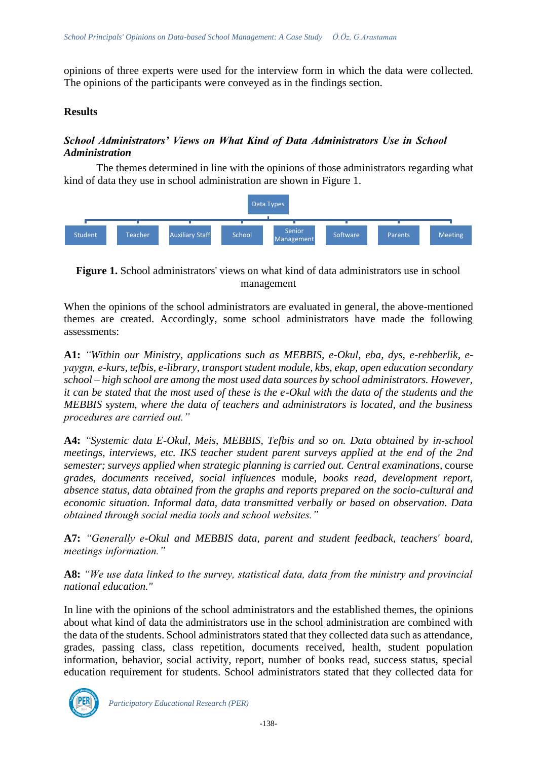opinions of three experts were used for the interview form in which the data were collected. The opinions of the participants were conveyed as in the findings section.

#### **Results**

# *School Administrators' Views on What Kind of Data Administrators Use in School Administration*

The themes determined in line with the opinions of those administrators regarding what kind of data they use in school administration are shown in Figure 1.



**Figure 1.** School administrators' views on what kind of data administrators use in school management

When the opinions of the school administrators are evaluated in general, the above-mentioned themes are created. Accordingly, some school administrators have made the following assessments:

**A1:** *"Within our Ministry, applications such as MEBBIS, e-Okul, eba, dys, e-rehberlik, eyaygın, e-kurs, tefbis, e-library, transport student module, kbs, ekap, open education secondary school – high school are among the most used data sources by school administrators. However, it can be stated that the most used of these is the e-Okul with the data of the students and the MEBBIS system, where the data of teachers and administrators is located, and the business procedures are carried out."*

**A4:** *"Systemic data E-Okul, Meis, MEBBIS, Tefbis and so on. Data obtained by in-school meetings, interviews, etc. IKS teacher student parent surveys applied at the end of the 2nd semester; surveys applied when strategic planning is carried out. Central examinations,* course *grades, documents received, social influences* module*, books read, development report, absence status, data obtained from the graphs and reports prepared on the socio-cultural and economic situation. Informal data, data transmitted verbally or based on observation. Data obtained through social media tools and school websites."*

**A7:** *"Generally e-Okul and MEBBIS data, parent and student feedback, teachers' board, meetings information."*

**A8:** *"We use data linked to the survey, statistical data, data from the ministry and provincial national education."*

In line with the opinions of the school administrators and the established themes, the opinions about what kind of data the administrators use in the school administration are combined with the data of the students. School administrators stated that they collected data such as attendance, grades, passing class, class repetition, documents received, health, student population information, behavior, social activity, report, number of books read, success status, special education requirement for students. School administrators stated that they collected data for

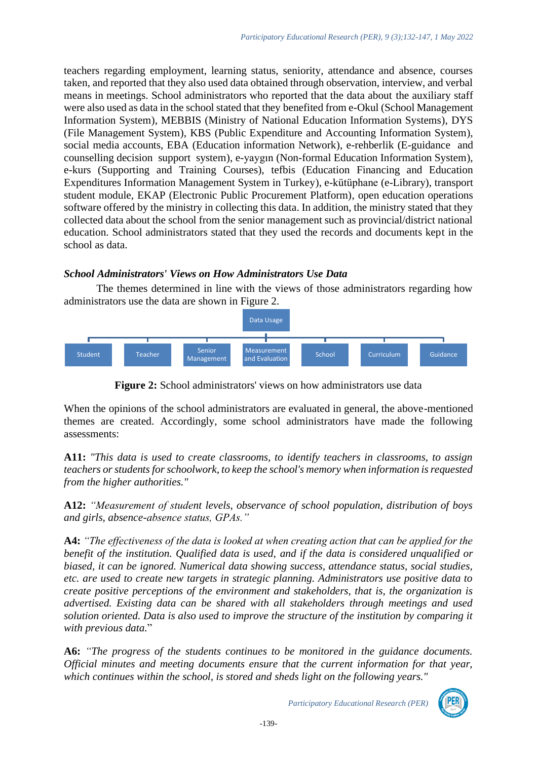teachers regarding employment, learning status, seniority, attendance and absence, courses taken, and reported that they also used data obtained through observation, interview, and verbal means in meetings. School administrators who reported that the data about the auxiliary staff were also used as data in the school stated that they benefited from e-Okul (School Management Information System), MEBBIS (Ministry of National Education Information Systems), DYS (File Management System), KBS (Public Expenditure and Accounting Information System), social media accounts, EBA (Education information Network), e-rehberlik (E-guidance and counselling decision support system), e-yaygın (Non-formal Education Information System), e-kurs (Supporting and Training Courses), tefbis (Education Financing and Education Expenditures Information Management System in Turkey), e-kütüphane (e-Library), transport student module, EKAP (Electronic Public Procurement Platform), open education operations software offered by the ministry in collecting this data. In addition, the ministry stated that they collected data about the school from the senior management such as provincial/district national education. School administrators stated that they used the records and documents kept in the school as data.

# *School Administrators' Views on How Administrators Use Data*

The themes determined in line with the views of those administrators regarding how administrators use the data are shown in Figure 2.



**Figure 2:** School administrators' views on how administrators use data

When the opinions of the school administrators are evaluated in general, the above-mentioned themes are created. Accordingly, some school administrators have made the following assessments:

**A11:** *"This data is used to create classrooms, to identify teachers in classrooms, to assign teachers or students for schoolwork, to keep the school's memory when information is requested from the higher authorities."*

**A12:** *"Measurement of student levels, observance of school population, distribution of boys and girls, absence-absence status, GPAs."*

**A4:** *"The effectiveness of the data is looked at when creating action that can be applied for the benefit of the institution. Qualified data is used, and if the data is considered unqualified or biased, it can be ignored. Numerical data showing success, attendance status, social studies, etc. are used to create new targets in strategic planning. Administrators use positive data to create positive perceptions of the environment and stakeholders, that is, the organization is advertised. Existing data can be shared with all stakeholders through meetings and used solution oriented. Data is also used to improve the structure of the institution by comparing it with previous data.*"

**A6:** *"The progress of the students continues to be monitored in the guidance documents. Official minutes and meeting documents ensure that the current information for that year, which continues within the school, is stored and sheds light on the following years."*

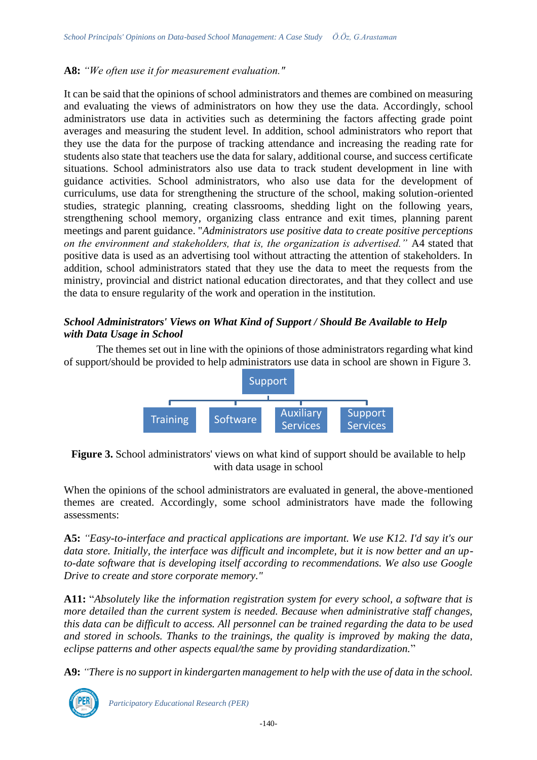# **A8:** *"We often use it for measurement evaluation."*

It can be said that the opinions of school administrators and themes are combined on measuring and evaluating the views of administrators on how they use the data. Accordingly, school administrators use data in activities such as determining the factors affecting grade point averages and measuring the student level. In addition, school administrators who report that they use the data for the purpose of tracking attendance and increasing the reading rate for students also state that teachers use the data for salary, additional course, and success certificate situations. School administrators also use data to track student development in line with guidance activities. School administrators, who also use data for the development of curriculums, use data for strengthening the structure of the school, making solution-oriented studies, strategic planning, creating classrooms, shedding light on the following years, strengthening school memory, organizing class entrance and exit times, planning parent meetings and parent guidance. "*Administrators use positive data to create positive perceptions on the environment and stakeholders, that is, the organization is advertised."* A4 stated that positive data is used as an advertising tool without attracting the attention of stakeholders. In addition, school administrators stated that they use the data to meet the requests from the ministry, provincial and district national education directorates, and that they collect and use the data to ensure regularity of the work and operation in the institution.

# *School Administrators' Views on What Kind of Support / Should Be Available to Help with Data Usage in School*

The themes set out in line with the opinions of those administrators regarding what kind of support/should be provided to help administrators use data in school are shown in Figure 3.



**Figure 3.** School administrators' views on what kind of support should be available to help with data usage in school

When the opinions of the school administrators are evaluated in general, the above-mentioned themes are created. Accordingly, some school administrators have made the following assessments:

**A5:** *"Easy-to-interface and practical applications are important. We use K12. I'd say it's our data store. Initially, the interface was difficult and incomplete, but it is now better and an upto-date software that is developing itself according to recommendations. We also use Google Drive to create and store corporate memory."*

**A11:** "*Absolutely like the information registration system for every school, a software that is more detailed than the current system is needed. Because when administrative staff changes, this data can be difficult to access. All personnel can be trained regarding the data to be used and stored in schools. Thanks to the trainings, the quality is improved by making the data, eclipse patterns and other aspects equal/the same by providing standardization.*"

**A9:** *"There is no support in kindergarten management to help with the use of data in the school.* 

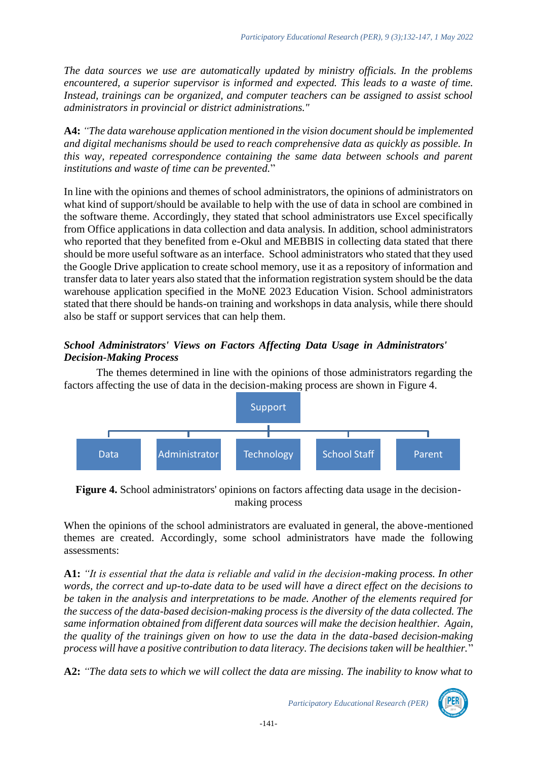*The data sources we use are automatically updated by ministry officials. In the problems encountered, a superior supervisor is informed and expected. This leads to a waste of time. Instead, trainings can be organized, and computer teachers can be assigned to assist school administrators in provincial or district administrations."*

**A4:** *"The data warehouse application mentioned in the vision document should be implemented and digital mechanisms should be used to reach comprehensive data as quickly as possible. In this way, repeated correspondence containing the same data between schools and parent institutions and waste of time can be prevented.*"

In line with the opinions and themes of school administrators, the opinions of administrators on what kind of support/should be available to help with the use of data in school are combined in the software theme. Accordingly, they stated that school administrators use Excel specifically from Office applications in data collection and data analysis. In addition, school administrators who reported that they benefited from e-Okul and MEBBIS in collecting data stated that there should be more useful software as an interface. School administrators who stated that they used the Google Drive application to create school memory, use it as a repository of information and transfer data to later years also stated that the information registration system should be the data warehouse application specified in the MoNE 2023 Education Vision. School administrators stated that there should be hands-on training and workshops in data analysis, while there should also be staff or support services that can help them.

# *School Administrators' Views on Factors Affecting Data Usage in Administrators' Decision-Making Process*

The themes determined in line with the opinions of those administrators regarding the factors affecting the use of data in the decision-making process are shown in Figure 4.



**Figure 4.** School administrators' opinions on factors affecting data usage in the decisionmaking process

When the opinions of the school administrators are evaluated in general, the above-mentioned themes are created. Accordingly, some school administrators have made the following assessments:

**A1:** *"It is essential that the data is reliable and valid in the decision-making process. In other words, the correct and up-to-date data to be used will have a direct effect on the decisions to be taken in the analysis and interpretations to be made. Another of the elements required for the success of the data-based decision-making process is the diversity of the data collected. The same information obtained from different data sources will make the decision healthier. Again, the quality of the trainings given on how to use the data in the data-based decision-making process will have a positive contribution to data literacy. The decisions taken will be healthier.*"

**A2:** *"The data sets to which we will collect the data are missing. The inability to know what to* 

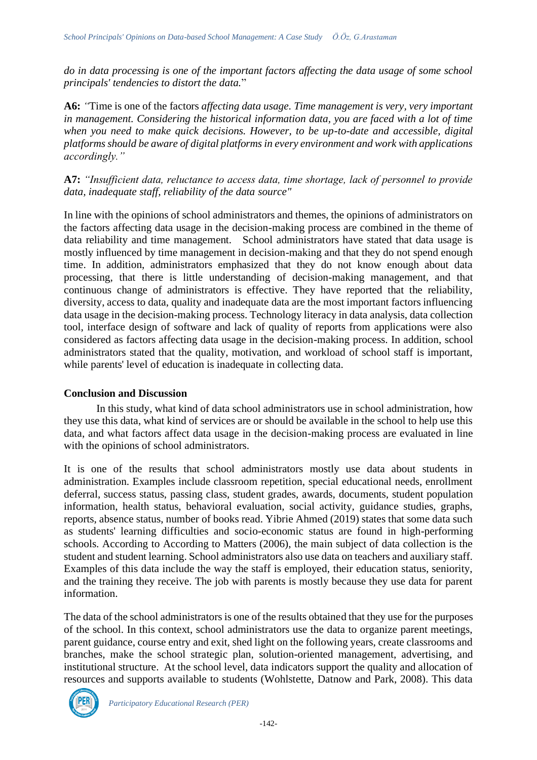*do in data processing is one of the important factors affecting the data usage of some school principals' tendencies to distort the data.*"

**A6:** *"*Time is one of the factors *affecting data usage. Time management is very, very important in management. Considering the historical information data, you are faced with a lot of time when you need to make quick decisions. However, to be up-to-date and accessible, digital platforms should be aware of digital platforms in every environment and work with applications accordingly."*

**A7:** *"Insufficient data, reluctance to access data, time shortage, lack of personnel to provide data, inadequate staff, reliability of the data source"*

In line with the opinions of school administrators and themes, the opinions of administrators on the factors affecting data usage in the decision-making process are combined in the theme of data reliability and time management. School administrators have stated that data usage is mostly influenced by time management in decision-making and that they do not spend enough time. In addition, administrators emphasized that they do not know enough about data processing, that there is little understanding of decision-making management, and that continuous change of administrators is effective. They have reported that the reliability, diversity, access to data, quality and inadequate data are the most important factors influencing data usage in the decision-making process. Technology literacy in data analysis, data collection tool, interface design of software and lack of quality of reports from applications were also considered as factors affecting data usage in the decision-making process. In addition, school administrators stated that the quality, motivation, and workload of school staff is important, while parents' level of education is inadequate in collecting data.

### **Conclusion and Discussion**

In this study, what kind of data school administrators use in school administration, how they use this data, what kind of services are or should be available in the school to help use this data, and what factors affect data usage in the decision-making process are evaluated in line with the opinions of school administrators.

It is one of the results that school administrators mostly use data about students in administration. Examples include classroom repetition, special educational needs, enrollment deferral, success status, passing class, student grades, awards, documents, student population information, health status, behavioral evaluation, social activity, guidance studies, graphs, reports, absence status, number of books read. Yibrie Ahmed (2019) states that some data such as students' learning difficulties and socio-economic status are found in high-performing schools. According to According to Matters (2006), the main subject of data collection is the student and student learning. School administrators also use data on teachers and auxiliary staff. Examples of this data include the way the staff is employed, their education status, seniority, and the training they receive. The job with parents is mostly because they use data for parent information.

The data of the school administrators is one of the results obtained that they use for the purposes of the school. In this context, school administrators use the data to organize parent meetings, parent guidance, course entry and exit, shed light on the following years, create classrooms and branches, make the school strategic plan, solution-oriented management, advertising, and institutional structure. At the school level, data indicators support the quality and allocation of resources and supports available to students (Wohlstette, Datnow and Park, 2008). This data

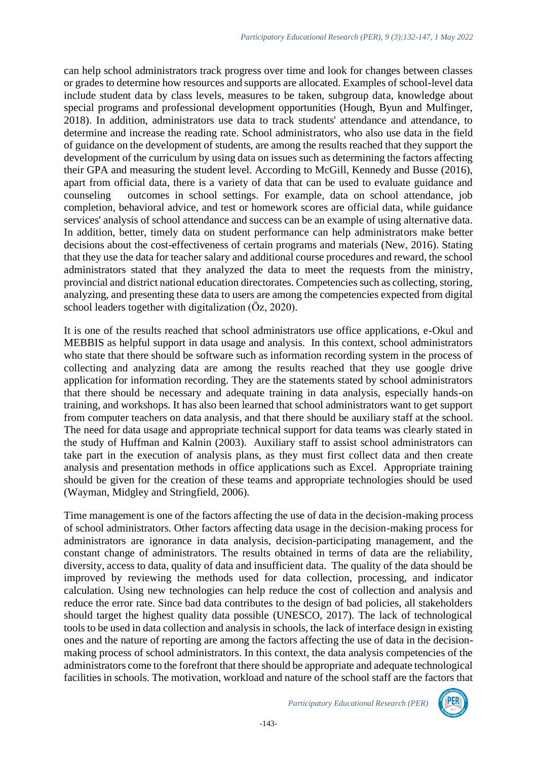can help school administrators track progress over time and look for changes between classes or grades to determine how resources and supports are allocated. Examples of school-level data include student data by class levels, measures to be taken, subgroup data, knowledge about special programs and professional development opportunities (Hough, Byun and Mulfinger, 2018). In addition, administrators use data to track students' attendance and attendance, to determine and increase the reading rate. School administrators, who also use data in the field of guidance on the development of students, are among the results reached that they support the development of the curriculum by using data on issues such as determining the factors affecting their GPA and measuring the student level. According to McGill, Kennedy and Busse (2016), apart from official data, there is a variety of data that can be used to evaluate guidance and counseling outcomes in school settings. For example, data on school attendance, job completion, behavioral advice, and test or homework scores are official data, while guidance services' analysis of school attendance and success can be an example of using alternative data. In addition, better, timely data on student performance can help administrators make better decisions about the cost-effectiveness of certain programs and materials (New, 2016). Stating that they use the data for teacher salary and additional course procedures and reward, the school administrators stated that they analyzed the data to meet the requests from the ministry, provincial and district national education directorates. Competencies such as collecting, storing, analyzing, and presenting these data to users are among the competencies expected from digital school leaders together with digitalization (Öz, 2020).

It is one of the results reached that school administrators use office applications, e-Okul and MEBBIS as helpful support in data usage and analysis. In this context, school administrators who state that there should be software such as information recording system in the process of collecting and analyzing data are among the results reached that they use google drive application for information recording. They are the statements stated by school administrators that there should be necessary and adequate training in data analysis, especially hands-on training, and workshops. It has also been learned that school administrators want to get support from computer teachers on data analysis, and that there should be auxiliary staff at the school. The need for data usage and appropriate technical support for data teams was clearly stated in the study of Huffman and Kalnin (2003). Auxiliary staff to assist school administrators can take part in the execution of analysis plans, as they must first collect data and then create analysis and presentation methods in office applications such as Excel. Appropriate training should be given for the creation of these teams and appropriate technologies should be used (Wayman, Midgley and Stringfield, 2006).

Time management is one of the factors affecting the use of data in the decision-making process of school administrators. Other factors affecting data usage in the decision-making process for administrators are ignorance in data analysis, decision-participating management, and the constant change of administrators. The results obtained in terms of data are the reliability, diversity, access to data, quality of data and insufficient data. The quality of the data should be improved by reviewing the methods used for data collection, processing, and indicator calculation. Using new technologies can help reduce the cost of collection and analysis and reduce the error rate. Since bad data contributes to the design of bad policies, all stakeholders should target the highest quality data possible (UNESCO, 2017). The lack of technological tools to be used in data collection and analysis in schools, the lack of interface design in existing ones and the nature of reporting are among the factors affecting the use of data in the decisionmaking process of school administrators. In this context, the data analysis competencies of the administrators come to the forefront that there should be appropriate and adequate technological facilities in schools. The motivation, workload and nature of the school staff are the factors that

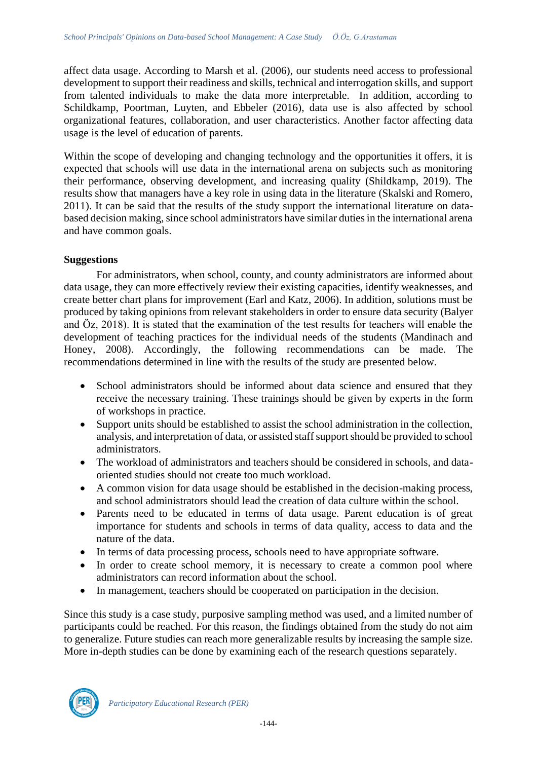affect data usage. According to Marsh et al. (2006), our students need access to professional development to support their readiness and skills, technical and interrogation skills, and support from talented individuals to make the data more interpretable. In addition, according to Schildkamp, Poortman, Luyten, and Ebbeler (2016), data use is also affected by school organizational features, collaboration, and user characteristics. Another factor affecting data usage is the level of education of parents.

Within the scope of developing and changing technology and the opportunities it offers, it is expected that schools will use data in the international arena on subjects such as monitoring their performance, observing development, and increasing quality (Shildkamp, 2019). The results show that managers have a key role in using data in the literature (Skalski and Romero, 2011). It can be said that the results of the study support the international literature on databased decision making, since school administrators have similar duties in the international arena and have common goals.

#### **Suggestions**

For administrators, when school, county, and county administrators are informed about data usage, they can more effectively review their existing capacities, identify weaknesses, and create better chart plans for improvement (Earl and Katz, 2006). In addition, solutions must be produced by taking opinions from relevant stakeholders in order to ensure data security (Balyer and Öz, 2018). It is stated that the examination of the test results for teachers will enable the development of teaching practices for the individual needs of the students (Mandinach and Honey, 2008). Accordingly, the following recommendations can be made. The recommendations determined in line with the results of the study are presented below.

- School administrators should be informed about data science and ensured that they receive the necessary training. These trainings should be given by experts in the form of workshops in practice.
- Support units should be established to assist the school administration in the collection, analysis, and interpretation of data, or assisted staff support should be provided to school administrators.
- The workload of administrators and teachers should be considered in schools, and dataoriented studies should not create too much workload.
- A common vision for data usage should be established in the decision-making process, and school administrators should lead the creation of data culture within the school.
- Parents need to be educated in terms of data usage. Parent education is of great importance for students and schools in terms of data quality, access to data and the nature of the data.
- In terms of data processing process, schools need to have appropriate software.
- In order to create school memory, it is necessary to create a common pool where administrators can record information about the school.
- In management, teachers should be cooperated on participation in the decision.

Since this study is a case study, purposive sampling method was used, and a limited number of participants could be reached. For this reason, the findings obtained from the study do not aim to generalize. Future studies can reach more generalizable results by increasing the sample size. More in-depth studies can be done by examining each of the research questions separately.

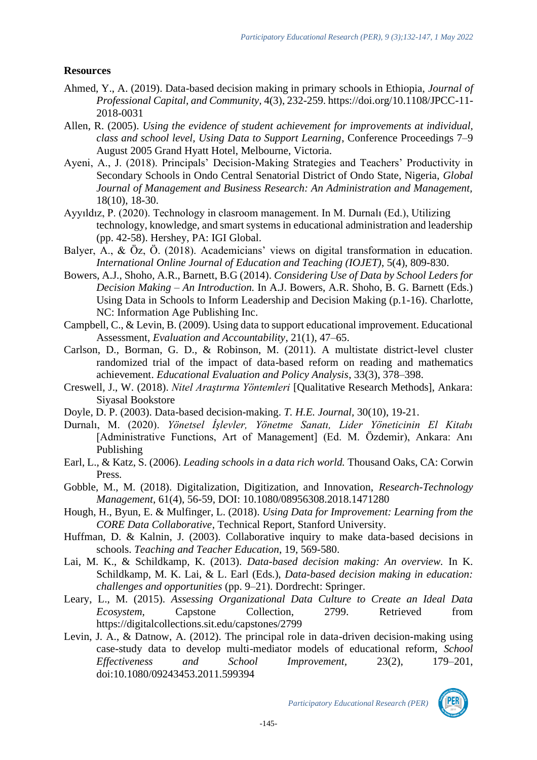# **Resources**

- Ahmed, Y., A. (2019). Data-based decision making in primary schools in Ethiopia, *Journal of Professional Capital, and Community,* 4(3), 232-259. https://doi.org/10.1108/JPCC-11- 2018-0031
- Allen, R. (2005). *Using the evidence of student achievement for improvements at individual, class and school level, Using Data to Support Learning*, Conference Proceedings 7–9 August 2005 Grand Hyatt Hotel, Melbourne, Victoria.
- Ayeni, A., J. (2018). Principals' Decision-Making Strategies and Teachers' Productivity in Secondary Schools in Ondo Central Senatorial District of Ondo State, Nigeria, *Global Journal of Management and Business Research: An Administration and Management,* 18(10), 18-30.
- Ayyıldız, P. (2020). Technology in clasroom management. In M. Durnalı (Ed.), Utilizing technology, knowledge, and smart systems in educational administration and leadership (pp. 42-58). Hershey, PA: IGI Global.
- Balyer, A., & Öz, Ö. (2018). Academicians' views on digital transformation in education. *International Online Journal of Education and Teaching (IOJET)*, 5(4), 809-830.
- Bowers, A.J., Shoho, A.R., Barnett, B.G (2014). *Considering Use of Data by School Leders for Decision Making – An Introduction.* In A.J. Bowers, A.R. Shoho, B. G. Barnett (Eds.) Using Data in Schools to Inform Leadership and Decision Making (p.1-16). Charlotte, NC: Information Age Publishing Inc.
- Campbell, C., & Levin, B. (2009). Using data to support educational improvement. Educational Assessment, *Evaluation and Accountability*, 21(1), 47–65.
- Carlson, D., Borman, G. D., & Robinson, M. (2011). A multistate district-level cluster randomized trial of the impact of data-based reform on reading and mathematics achievement. *Educational Evaluation and Policy Analysis*, 33(3), 378–398.
- Creswell, J., W. (2018). *Nitel Araştırma Yöntemleri* [Qualitative Research Methods], Ankara: Siyasal Bookstore
- Doyle, D. P. (2003). Data-based decision-making. *T. H.E. Journal,* 30(10), 19-21.
- Durnalı, M. (2020). *Yönetsel İşlevler, Yönetme Sanatı, Lider Yöneticinin El Kitabı* [Administrative Functions, Art of Management] (Ed. M. Özdemir), Ankara: Anı Publishing
- Earl, L., & Katz, S. (2006). *Leading schools in a data rich world.* Thousand Oaks, CA: Corwin Press.
- Gobble, M., M. (2018). Digitalization, Digitization, and Innovation, *Research-Technology Management*, 61(4), 56-59, DOI: 10.1080/08956308.2018.1471280
- Hough, H., Byun, E. & Mulfinger, L. (2018). *Using Data for Improvement: Learning from the CORE Data Collaborative*, Technical Report, Stanford University.
- Huffman, D. & Kalnin, J. (2003). Collaborative inquiry to make data-based decisions in schools. *Teaching and Teacher Education*, 19, 569-580.
- Lai, M. K., & Schildkamp, K. (2013). *Data-based decision making: An overview.* In K. Schildkamp, M. K. Lai, & L. Earl (Eds.), *Data-based decision making in education: challenges and opportunities* (pp. 9–21). Dordrecht: Springer.
- Leary, L., M. (2015). *Assessing Organizational Data Culture to Create an Ideal Data Ecosystem,* Capstone Collection, 2799. Retrieved from https://digitalcollections.sit.edu/capstones/2799
- Levin, J. A., & Datnow, A. (2012). The principal role in data-driven decision-making using case-study data to develop multi-mediator models of educational reform, *School Effectiveness and School Improvement,* 23(2), 179–201, doi:10.1080/09243453.2011.599394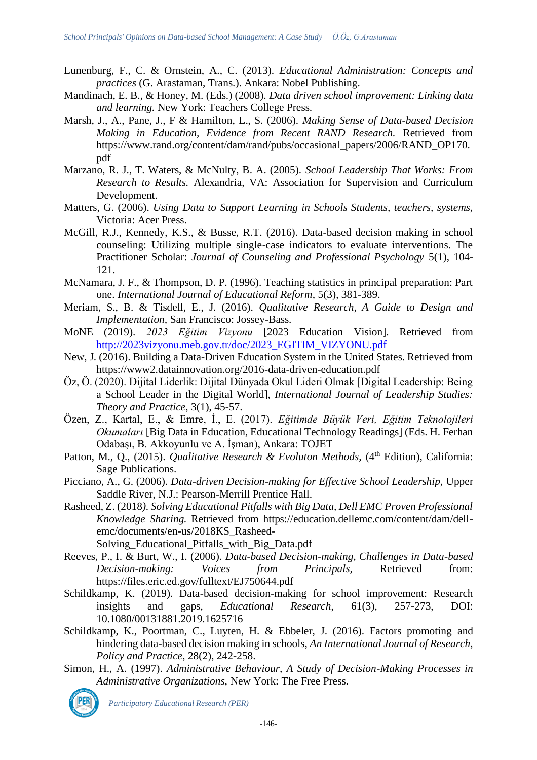- Lunenburg, F., C. & Ornstein, A., C. (2013). *Educational Administration: Concepts and practices* (G. Arastaman, Trans.). Ankara: Nobel Publishing.
- Mandinach, E. B., & Honey, M. (Eds.) (2008). *Data driven school improvement: Linking data and learning.* New York: Teachers College Press.
- Marsh, J., A., Pane, J., F & Hamilton, L., S. (2006). *Making Sense of Data-based Decision Making in Education, Evidence from Recent RAND Research.* Retrieved from https://www.rand.org/content/dam/rand/pubs/occasional\_papers/2006/RAND\_OP170. pdf
- Marzano, R. J., T. Waters, & McNulty, B. A. (2005). *School Leadership That Works: From Research to Results.* Alexandria, VA: Association for Supervision and Curriculum Development.
- Matters, G. (2006). *Using Data to Support Learning in Schools Students, teachers, systems,* Victoria: Acer Press.
- McGill, R.J., Kennedy, K.S., & Busse, R.T. (2016). Data-based decision making in school counseling: Utilizing multiple single-case indicators to evaluate interventions. The Practitioner Scholar: *Journal of Counseling and Professional Psychology* 5(1), 104- 121.
- McNamara, J. F., & Thompson, D. P. (1996). Teaching statistics in principal preparation: Part one. *International Journal of Educational Reform*, 5(3), 381-389.
- Meriam, S., B. & Tisdell, E., J. (2016). *Qualitative Research, A Guide to Design and Implementation,* San Francisco: Jossey-Bass.
- MoNE (2019). *2023 Eğitim Vizyonu* [2023 Education Vision]. Retrieved from [http://2023vizyonu.meb.gov.tr/doc/2023\\_EGITIM\\_VIZYONU.pdf](http://2023vizyonu.meb.gov.tr/doc/2023_EGITIM_VIZYONU.pdf)
- New, J. (2016). Building a Data-Driven Education System in the United States. Retrieved from https://www2.datainnovation.org/2016-data-driven-education.pdf
- Öz, Ö. (2020). Dijital Liderlik: Dijital Dünyada Okul Lideri Olmak [Digital Leadership: Being a School Leader in the Digital World], *International Journal of Leadership Studies: Theory and Practice*, 3(1), 45-57.
- Özen, Z., Kartal, E., & Emre, İ., E. (2017). *Eğitimde Büyük Veri, Eğitim Teknolojileri Okumaları* [Big Data in Education, Educational Technology Readings] (Eds. H. Ferhan Odabaşı, B. Akkoyunlu ve A. İşman), Ankara: TOJET
- Patton, M., Q., (2015). *Qualitative Research & Evoluton Methods*, (4<sup>th</sup> Edition), California: Sage Publications.
- Picciano, A., G. (2006). *Data-driven Decision-making for Effective School Leadership,* Upper Saddle River, N.J.: Pearson-Merrill Prentice Hall.
- Rasheed, Z. (2018*). Solving Educational Pitfalls with Big Data, Dell EMC Proven Professional Knowledge Sharing.* Retrieved from https://education.dellemc.com/content/dam/dellemc/documents/en-us/2018KS\_Rasheed-
	- Solving\_Educational\_Pitfalls\_with\_Big\_Data.pdf
- Reeves, P., I. & Burt, W., I. (2006). *Data-based Decision-making, Challenges in Data-based Decision-making: Voices from Principals,* Retrieved from: <https://files.eric.ed.gov/fulltext/EJ750644.pdf>
- Schildkamp, K. (2019). Data-based decision-making for school improvement: Research insights and gaps, *Educational Research*, 61(3), 257-273, DOI: 10.1080/00131881.2019.1625716
- Schildkamp, K., Poortman, C., Luyten, H. & Ebbeler, J. (2016). Factors promoting and hindering data-based decision making in schools, *An International Journal of Research, Policy and Practice*, 28(2), 242-258.
- Simon, H., A. (1997). *Administrative Behaviour, A Study of Decision-Making Processes in Administrative Organizations,* New York: The Free Press.